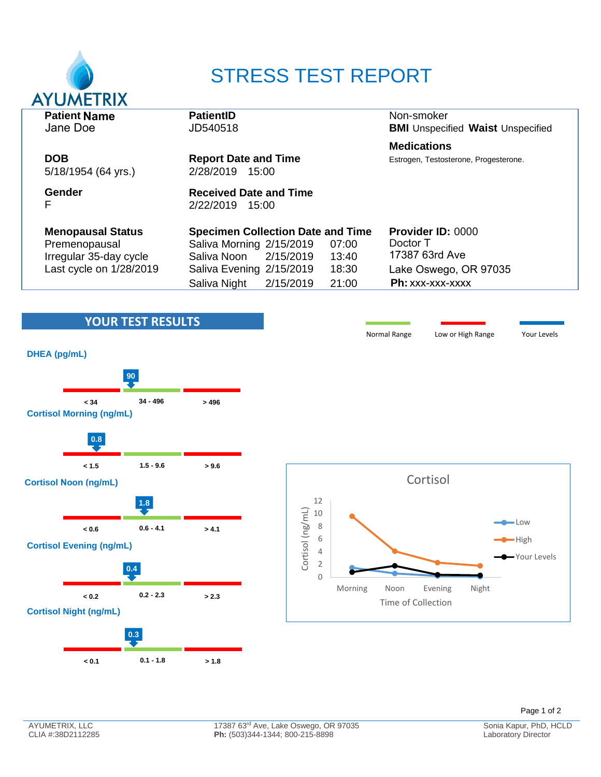

# STRESS TEST REPORT

**Patient Name** Jane Doe

5/18/1954 (64 yrs.)

**Menopausal Status** Premenopausal Irregular 35-day cycle Last cycle on 1/28/2019 **Report Date and Time**

2/28/2019 15:00

**PatientID** JD540518

**Gender** F

**DOB**

**Received Date and Time** 2/22/2019 15:00

| <b>Specimen Collection Date and Time</b> |                    | Provider ID: 0000       |  |
|------------------------------------------|--------------------|-------------------------|--|
| Saliva Morning 2/15/2019                 | 07:00              | Doctor T                |  |
| Saliva Noon 2/15/2019                    | 13:40              | 17387 63rd Ave          |  |
| Saliva Evening 2/15/2019                 | 18:30              | Lake Oswego, OR 97035   |  |
| Saliva Night                             | 2/15/2019<br>21:00 | <b>Ph:</b> xxx-xxx-xxxx |  |

Non-smoker

**Medications**

**BMI** Unspecified **Waist** Unspecified

Estrogen, Testosterone, Progesterone.

Normal Range Low or High Range Your Levels

### **YOUR TEST RESULTS**





#### AYUMETRIX, LLC CLIA #:38D2112285